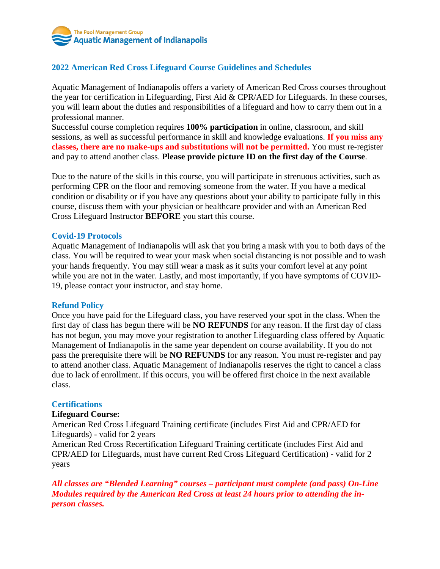

# **2022 American Red Cross Lifeguard Course Guidelines and Schedules**

Aquatic Management of Indianapolis offers a variety of American Red Cross courses throughout the year for certification in Lifeguarding, First Aid & CPR/AED for Lifeguards. In these courses, you will learn about the duties and responsibilities of a lifeguard and how to carry them out in a professional manner.

Successful course completion requires **100% participation** in online, classroom, and skill sessions, as well as successful performance in skill and knowledge evaluations. **If you miss any classes, there are no make-ups and substitutions will not be permitted.** You must re-register and pay to attend another class. **Please provide picture ID on the first day of the Course**.

Due to the nature of the skills in this course, you will participate in strenuous activities, such as performing CPR on the floor and removing someone from the water. If you have a medical condition or disability or if you have any questions about your ability to participate fully in this course, discuss them with your physician or healthcare provider and with an American Red Cross Lifeguard Instructor **BEFORE** you start this course.

### **Covid-19 Protocols**

Aquatic Management of Indianapolis will ask that you bring a mask with you to both days of the class. You will be required to wear your mask when social distancing is not possible and to wash your hands frequently. You may still wear a mask as it suits your comfort level at any point while you are not in the water. Lastly, and most importantly, if you have symptoms of COVID-19, please contact your instructor, and stay home.

#### **Refund Policy**

Once you have paid for the Lifeguard class, you have reserved your spot in the class. When the first day of class has begun there will be **NO REFUNDS** for any reason. If the first day of class has not begun, you may move your registration to another Lifeguarding class offered by Aquatic Management of Indianapolis in the same year dependent on course availability. If you do not pass the prerequisite there will be **NO REFUNDS** for any reason. You must re-register and pay to attend another class. Aquatic Management of Indianapolis reserves the right to cancel a class due to lack of enrollment. If this occurs, you will be offered first choice in the next available class.

#### **Certifications**

#### **Lifeguard Course:**

American Red Cross Lifeguard Training certificate (includes First Aid and CPR/AED for Lifeguards) - valid for 2 years

American Red Cross Recertification Lifeguard Training certificate (includes First Aid and CPR/AED for Lifeguards, must have current Red Cross Lifeguard Certification) - valid for 2 years

*All classes are "Blended Learning" courses – participant must complete (and pass) On-Line Modules required by the American Red Cross at least 24 hours prior to attending the inperson classes.*